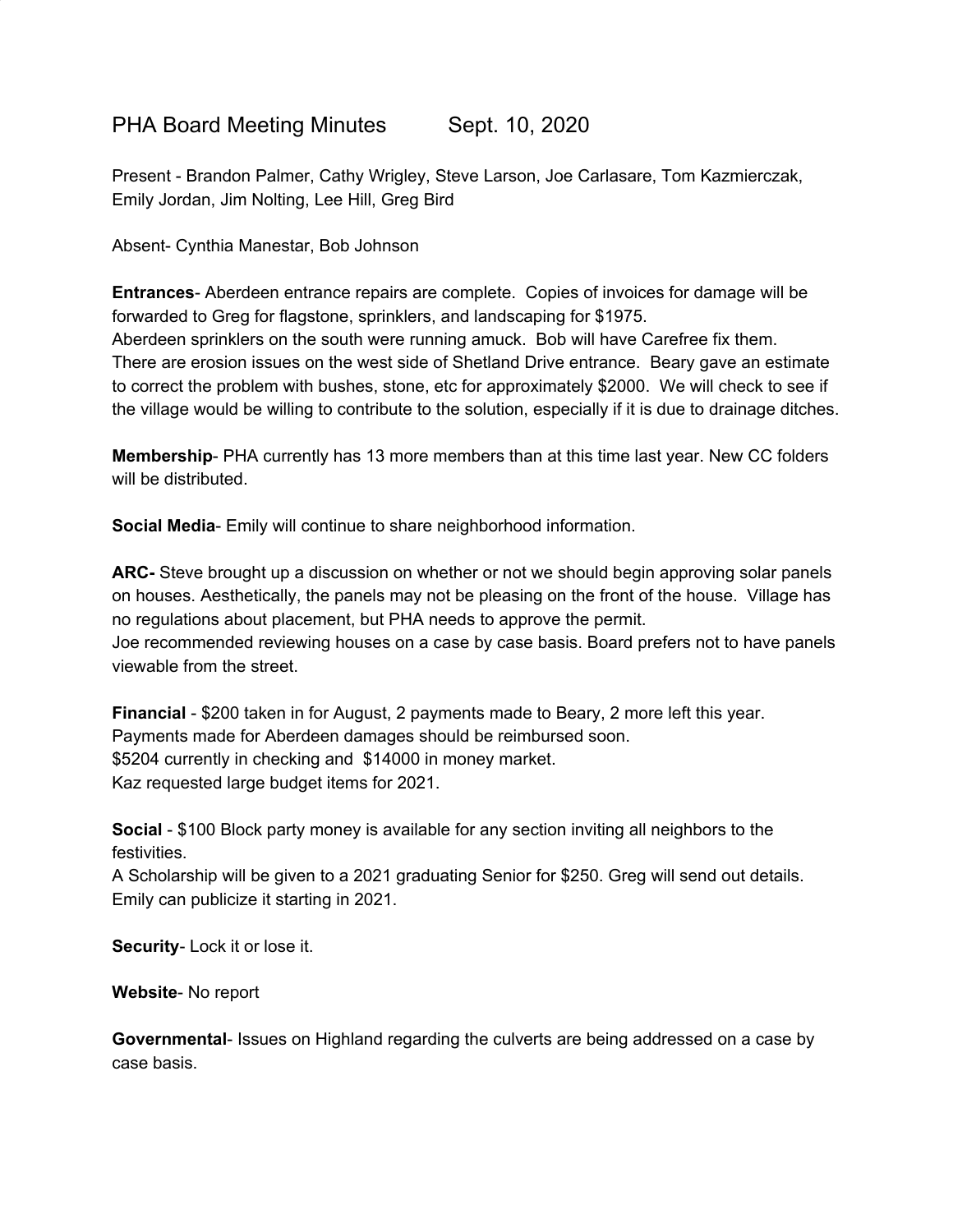## PHA Board Meeting Minutes Sept. 10, 2020

Present - Brandon Palmer, Cathy Wrigley, Steve Larson, Joe Carlasare, Tom Kazmierczak, Emily Jordan, Jim Nolting, Lee Hill, Greg Bird

Absent- Cynthia Manestar, Bob Johnson

**Entrances**- Aberdeen entrance repairs are complete. Copies of invoices for damage will be forwarded to Greg for flagstone, sprinklers, and landscaping for \$1975. Aberdeen sprinklers on the south were running amuck. Bob will have Carefree fix them. There are erosion issues on the west side of Shetland Drive entrance. Beary gave an estimate

to correct the problem with bushes, stone, etc for approximately \$2000. We will check to see if the village would be willing to contribute to the solution, especially if it is due to drainage ditches.

**Membership**- PHA currently has 13 more members than at this time last year. New CC folders will be distributed.

**Social Media**- Emily will continue to share neighborhood information.

**ARC-** Steve brought up a discussion on whether or not we should begin approving solar panels on houses. Aesthetically, the panels may not be pleasing on the front of the house. Village has no regulations about placement, but PHA needs to approve the permit. Joe recommended reviewing houses on a case by case basis. Board prefers not to have panels viewable from the street.

**Financial** - \$200 taken in for August, 2 payments made to Beary, 2 more left this year. Payments made for Aberdeen damages should be reimbursed soon. \$5204 currently in checking and \$14000 in money market. Kaz requested large budget items for 2021.

**Social** - \$100 Block party money is available for any section inviting all neighbors to the festivities.

A Scholarship will be given to a 2021 graduating Senior for \$250. Greg will send out details. Emily can publicize it starting in 2021.

**Security**- Lock it or lose it.

**Website**- No report

**Governmental**- Issues on Highland regarding the culverts are being addressed on a case by case basis.